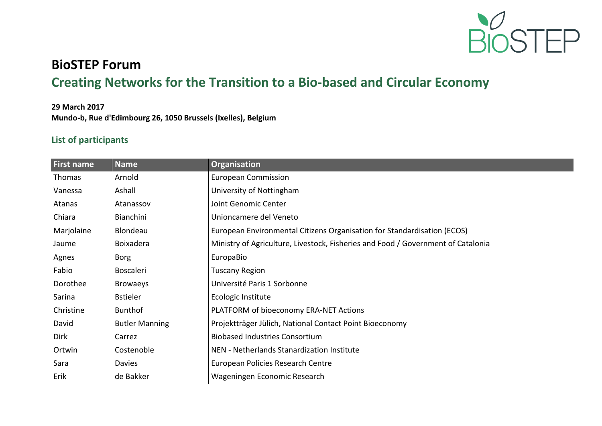

## **BioSTEP Forum Creating Networks for the Transition to a Bio-based and Circular Economy**

## **29 March 2017 Mundo-b, Rue d'Edimbourg 26, 1050 Brussels (Ixelles), Belgium**

## **List of participants**

| <b>First name</b> | <b>Name</b>           | Organisation                                                                     |
|-------------------|-----------------------|----------------------------------------------------------------------------------|
| <b>Thomas</b>     | Arnold                | <b>European Commission</b>                                                       |
| Vanessa           | Ashall                | University of Nottingham                                                         |
| Atanas            | Atanassov             | Joint Genomic Center                                                             |
| Chiara            | Bianchini             | Unioncamere del Veneto                                                           |
| Marjolaine        | Blondeau              | European Environmental Citizens Organisation for Standardisation (ECOS)          |
| Jaume             | <b>Boixadera</b>      | Ministry of Agriculture, Livestock, Fisheries and Food / Government of Catalonia |
| Agnes             | Borg                  | EuropaBio                                                                        |
| Fabio             | <b>Boscaleri</b>      | <b>Tuscany Region</b>                                                            |
| Dorothee          | <b>Browaeys</b>       | Université Paris 1 Sorbonne                                                      |
| Sarina            | <b>Bstieler</b>       | Ecologic Institute                                                               |
| Christine         | <b>Bunthof</b>        | PLATFORM of bioeconomy ERA-NET Actions                                           |
| David             | <b>Butler Manning</b> | Projektträger Jülich, National Contact Point Bioeconomy                          |
| Dirk              | Carrez                | <b>Biobased Industries Consortium</b>                                            |
| Ortwin            | Costenoble            | NEN - Netherlands Stanardization Institute                                       |
| Sara              | Davies                | European Policies Research Centre                                                |
| Erik              | de Bakker             | Wageningen Economic Research                                                     |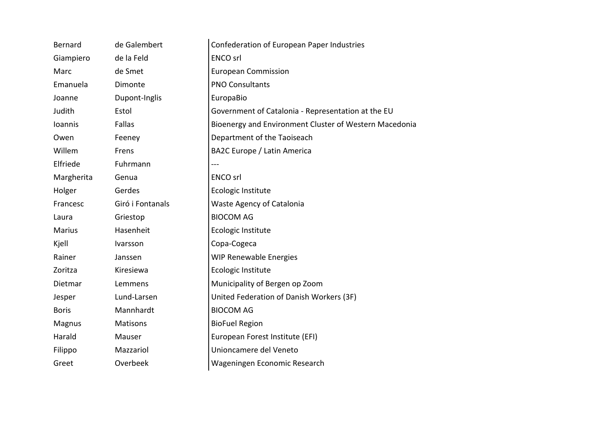| Bernard        | de Galembert     | Confederation of European Paper Industries             |
|----------------|------------------|--------------------------------------------------------|
| Giampiero      | de la Feld       | <b>ENCO</b> srl                                        |
| Marc           | de Smet          | <b>European Commission</b>                             |
| Emanuela       | Dimonte          | <b>PNO Consultants</b>                                 |
| Joanne         | Dupont-Inglis    | EuropaBio                                              |
| Judith         | Estol            | Government of Catalonia - Representation at the EU     |
| <b>Ioannis</b> | Fallas           | Bioenergy and Environment Cluster of Western Macedonia |
| Owen           | Feeney           | Department of the Taoiseach                            |
| Willem         | Frens            | <b>BA2C Europe / Latin America</b>                     |
| Elfriede       | Fuhrmann         |                                                        |
| Margherita     | Genua            | <b>ENCO</b> srl                                        |
| Holger         | Gerdes           | Ecologic Institute                                     |
| Francesc       | Giró i Fontanals | Waste Agency of Catalonia                              |
| Laura          | Griestop         | <b>BIOCOM AG</b>                                       |
| <b>Marius</b>  | Hasenheit        | Ecologic Institute                                     |
| Kjell          | Ivarsson         | Copa-Cogeca                                            |
| Rainer         | Janssen          | <b>WIP Renewable Energies</b>                          |
| Zoritza        | Kiresiewa        | Ecologic Institute                                     |
| Dietmar        | Lemmens          | Municipality of Bergen op Zoom                         |
| Jesper         | Lund-Larsen      | United Federation of Danish Workers (3F)               |
| <b>Boris</b>   | Mannhardt        | <b>BIOCOM AG</b>                                       |
| Magnus         | Matisons         | <b>BioFuel Region</b>                                  |
| Harald         | Mauser           | European Forest Institute (EFI)                        |
| Filippo        | Mazzariol        | Unioncamere del Veneto                                 |
| Greet          | Overbeek         | Wageningen Economic Research                           |
|                |                  |                                                        |